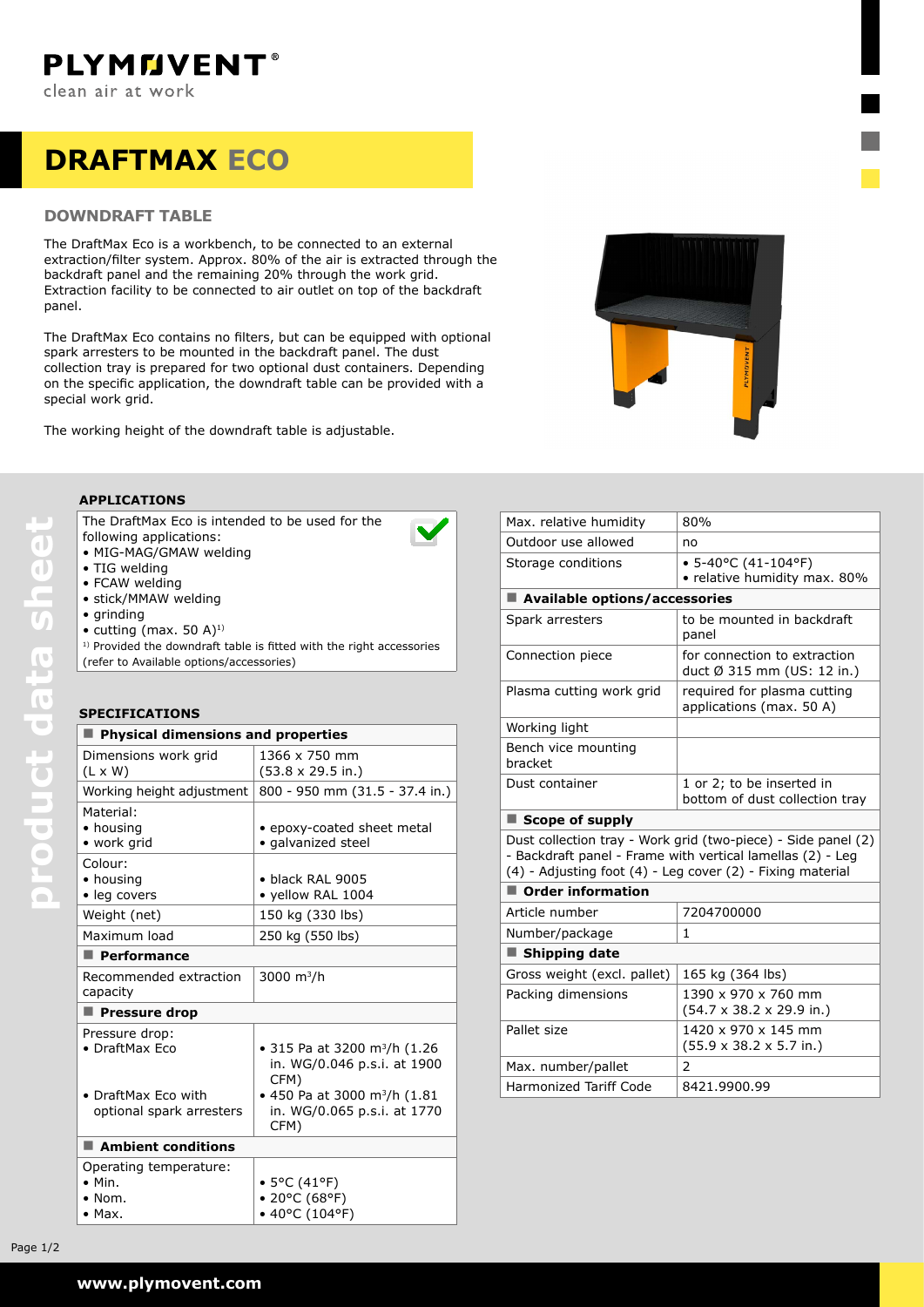# **draftmax ECO**

## **DOWNDRAFT TABLE**

The DraftMax Eco is a workbench, to be connected to an external extraction/filter system. Approx. 80% of the air is extracted through the backdraft panel and the remaining 20% through the work grid. Extraction facility to be connected to air outlet on top of the backdraft panel.

The DraftMax Eco contains no filters, but can be equipped with optional spark arresters to be mounted in the backdraft panel. The dust collection tray is prepared for two optional dust containers. Depending on the specific application, the downdraft table can be provided with a special work grid.

The working height of the downdraft table is adjustable.



### **Applications**

The DraftMax Eco is intended to be used for the following applications:

- • MIG-MAG/GMAW welding
- TIG welding
- FCAW welding
- • stick/MMAW welding
- • grinding

**product data sheet**

product data sheet

 $\bullet$  cutting (max. 50 A)<sup>1)</sup>

 $1)$  Provided the downdraft table is fitted with the right accessories (refer to Available options/accessories)

## **Specifications**

| <b>Physical dimensions and properties</b>                                    |                                                                                 |  |
|------------------------------------------------------------------------------|---------------------------------------------------------------------------------|--|
| Dimensions work grid<br>$(L \times W)$                                       | 1366 x 750 mm<br>(53.8 x 29.5 in.)                                              |  |
| Working height adjustment                                                    | 800 - 950 mm (31.5 - 37.4 in.)                                                  |  |
| Material:<br>• housing<br>• work grid                                        | • epoxy-coated sheet metal<br>· galvanized steel                                |  |
| Colour:<br>• housing<br>· leg covers                                         | $\bullet$ black RAL 9005<br>· yellow RAL 1004                                   |  |
| Weight (net)                                                                 | 150 kg (330 lbs)                                                                |  |
| Maximum load                                                                 | 250 kg (550 lbs)                                                                |  |
| $\blacksquare$ Performance                                                   |                                                                                 |  |
| Recommended extraction<br>capacity                                           | 3000 m <sup>3</sup> /h                                                          |  |
| <b>Pressure drop</b>                                                         |                                                                                 |  |
| Pressure drop:<br>$\bullet$ DraftMax Fco                                     | • 315 Pa at 3200 m <sup>3</sup> /h (1.26<br>in. WG/0.046 p.s.i. at 1900<br>CFM) |  |
| • DraftMax Eco with<br>optional spark arresters                              | • 450 Pa at 3000 m <sup>3</sup> /h (1.81<br>in. WG/0.065 p.s.i. at 1770<br>CFM) |  |
| $\blacksquare$ Ambient conditions                                            |                                                                                 |  |
| Operating temperature:<br>$\bullet$ Min.<br>$\bullet$ Nom.<br>$\bullet$ Max. | • 5°C (41°F)<br>• 20°C (68°F)<br>• 40°C (104°F)                                 |  |

| Max. relative humidity                                                                                                                                                                    | 80%                                                                 |  |
|-------------------------------------------------------------------------------------------------------------------------------------------------------------------------------------------|---------------------------------------------------------------------|--|
| Outdoor use allowed                                                                                                                                                                       | no                                                                  |  |
| Storage conditions                                                                                                                                                                        | $\bullet$ 5-40°C (41-104°F)<br>• relative humidity max. 80%         |  |
| Available options/accessories                                                                                                                                                             |                                                                     |  |
| Spark arresters                                                                                                                                                                           | to be mounted in backdraft<br>panel                                 |  |
| Connection piece                                                                                                                                                                          | for connection to extraction<br>duct Ø 315 mm (US: 12 in.)          |  |
| Plasma cutting work grid                                                                                                                                                                  | required for plasma cutting<br>applications (max. 50 A)             |  |
| Working light                                                                                                                                                                             |                                                                     |  |
| Bench vice mounting<br>bracket                                                                                                                                                            |                                                                     |  |
| Dust container                                                                                                                                                                            | 1 or 2; to be inserted in<br>bottom of dust collection tray         |  |
| ■ Scope of supply                                                                                                                                                                         |                                                                     |  |
| Dust collection tray - Work grid (two-piece) - Side panel (2)<br>- Backdraft panel - Frame with vertical lamellas (2) - Leg<br>(4) - Adjusting foot (4) - Leg cover (2) - Fixing material |                                                                     |  |
| Order information                                                                                                                                                                         |                                                                     |  |
| Article number                                                                                                                                                                            | 7204700000                                                          |  |
| Number/package                                                                                                                                                                            | 1                                                                   |  |
| $\blacksquare$ Shipping date                                                                                                                                                              |                                                                     |  |
| Gross weight (excl. pallet)                                                                                                                                                               | 165 kg (364 lbs)                                                    |  |
| Packing dimensions                                                                                                                                                                        | 1390 x 970 x 760 mm<br>$(54.7 \times 38.2 \times 29.9 \text{ in.})$ |  |
| Pallet size                                                                                                                                                                               | 1420 x 970 x 145 mm<br>$(55.9 \times 38.2 \times 5.7 \text{ in.})$  |  |
| Max. number/pallet                                                                                                                                                                        | 2                                                                   |  |
| <b>Harmonized Tariff Code</b>                                                                                                                                                             | 8421.9900.99                                                        |  |
|                                                                                                                                                                                           |                                                                     |  |